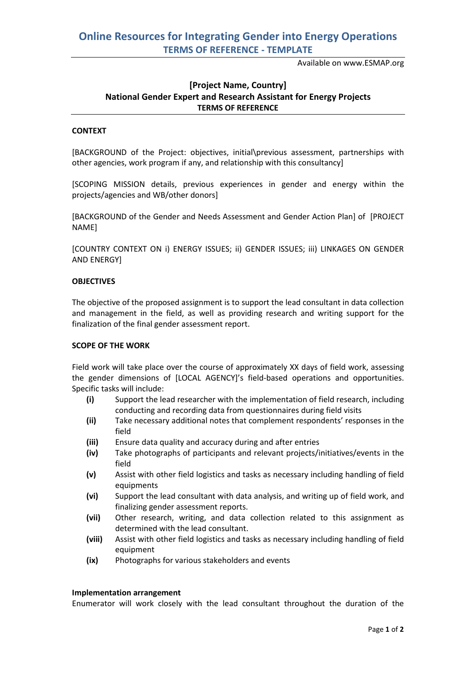Available on www.ESMAP.org

# **[Project Name, Country] National Gender Expert and Research Assistant for Energy Projects TERMS OF REFERENCE**

# **CONTEXT**

[BACKGROUND of the Project: objectives, initial\previous assessment, partnerships with other agencies, work program if any, and relationship with this consultancy]

[SCOPING MISSION details, previous experiences in gender and energy within the projects/agencies and WB/other donors]

[BACKGROUND of the Gender and Needs Assessment and Gender Action Plan] of [PROJECT NAME]

[COUNTRY CONTEXT ON i) ENERGY ISSUES; ii) GENDER ISSUES; iii) LINKAGES ON GENDER AND ENERGY]

## **OBJECTIVES**

The objective of the proposed assignment is to support the lead consultant in data collection and management in the field, as well as providing research and writing support for the finalization of the final gender assessment report.

#### **SCOPE OF THE WORK**

Field work will take place over the course of approximately XX days of field work, assessing the gender dimensions of [LOCAL AGENCY]'s field-based operations and opportunities. Specific tasks will include:

- **(i)** Support the lead researcher with the implementation of field research, including conducting and recording data from questionnaires during field visits
- **(ii)** Take necessary additional notes that complement respondents' responses in the field
- **(iii)** Ensure data quality and accuracy during and after entries
- **(iv)** Take photographs of participants and relevant projects/initiatives/events in the field
- **(v)** Assist with other field logistics and tasks as necessary including handling of field equipments
- **(vi)** Support the lead consultant with data analysis, and writing up of field work, and finalizing gender assessment reports.
- **(vii)** Other research, writing, and data collection related to this assignment as determined with the lead consultant.
- **(viii)** Assist with other field logistics and tasks as necessary including handling of field equipment
- **(ix)** Photographs for various stakeholders and events

#### **Implementation arrangement**

Enumerator will work closely with the lead consultant throughout the duration of the